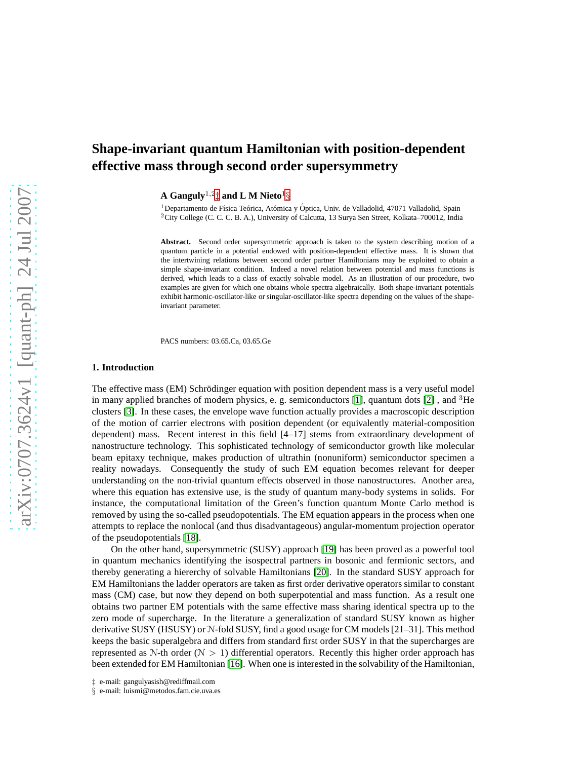# **Shape-invariant quantum Hamiltonian with position-dependent effective mass through second order supersymmetry**

**A Ganguly**1,<sup>2</sup> [‡](#page-0-0) **and L M Nieto**<sup>1</sup> [§](#page-0-1)

 $1$ Departamento de Física Teórica, Atómica y Óptica, Univ. de Valladolid, 47071 Valladolid, Spain <sup>2</sup>City College (C. C. C. B. A.), University of Calcutta, 13 Surya Sen Street, Kolkata–700012, India

**Abstract.** Second order supersymmetric approach is taken to the system describing motion of a quantum particle in a potential endowed with position-dependent effective mass. It is shown that the intertwining relations between second order partner Hamiltonians may be exploited to obtain a simple shape-invariant condition. Indeed a novel relation between potential and mass functions is derived, which leads to a class of exactly solvable model. As an illustration of our procedure, two examples are given for which one obtains whole spectra algebraically. Both shape-invariant potentials exhibit harmonic-oscillator-like or singular-oscillator-like spectra depending on the values of the shapeinvariant parameter.

PACS numbers: 03.65.Ca, 03.65.Ge

## **1. Introduction**

The effective mass (EM) Schrödinger equation with position dependent mass is a very useful model in many applied branches of modern physics, e. g. semiconductors [\[1\]](#page-13-0), quantum dots [\[2\]](#page-13-1), and <sup>3</sup>He clusters [\[3\]](#page-13-2). In these cases, the envelope wave function actually provides a macroscopic description of the motion of carrier electrons with position dependent (or equivalently material-composition dependent) mass. Recent interest in this field [4–17] stems from extraordinary development of nanostructure technology. This sophisticated technology of semiconductor growth like molecular beam epitaxy technique, makes production of ultrathin (nonuniform) semiconductor specimen a reality nowadays. Consequently the study of such EM equation becomes relevant for deeper understanding on the non-trivial quantum effects observed in those nanostructures. Another area, where this equation has extensive use, is the study of quantum many-body systems in solids. For instance, the computational limitation of the Green's function quantum Monte Carlo method is removed by using the so-called pseudopotentials. The EM equation appears in the process when one attempts to replace the nonlocal (and thus disadvantageous) angular-momentum projection operator of the pseudopotentials [\[18\]](#page-13-3).

On the other hand, supersymmetric (SUSY) approach [\[19\]](#page-13-4) has been proved as a powerful tool in quantum mechanics identifying the isospectral partners in bosonic and fermionic sectors, and thereby generating a hiererchy of solvable Hamiltonians [\[20\]](#page-13-5). In the standard SUSY approach for EM Hamiltonians the ladder operators are taken as first order derivative operators similar to constant mass (CM) case, but now they depend on both superpotential and mass function. As a result one obtains two partner EM potentials with the same effective mass sharing identical spectra up to the zero mode of supercharge. In the literature a generalization of standard SUSY known as higher derivative SUSY (HSUSY) or N-fold SUSY, find a good usage for CM models [21–31]. This method keeps the basic superalgebra and differs from standard first order SUSY in that the supercharges are represented as  $N$ -th order ( $N > 1$ ) differential operators. Recently this higher order approach has been extended for EM Hamiltonian [\[16\]](#page-13-6). When one is interested in the solvability of the Hamiltonian,

<sup>‡</sup> e-mail: gangulyasish@rediffmail.com

<span id="page-0-1"></span><span id="page-0-0"></span><sup>§</sup> e-mail: luismi@metodos.fam.cie.uva.es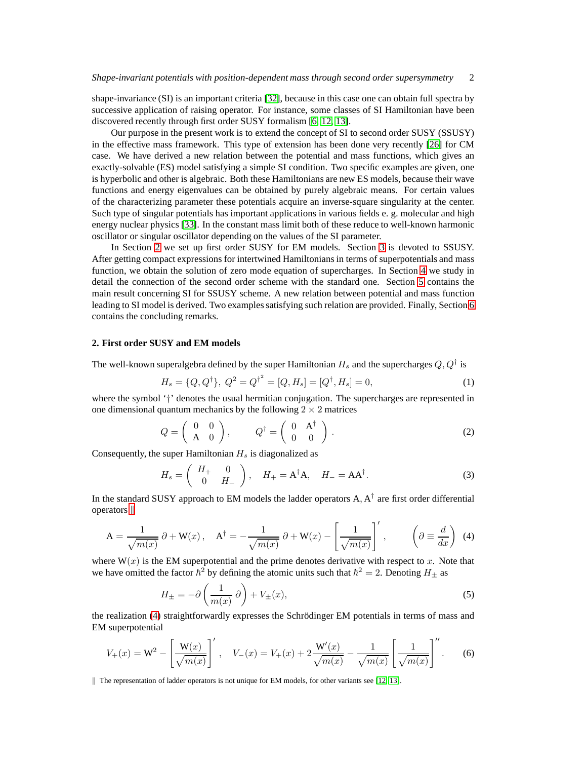shape-invariance (SI) is an important criteria [\[32\]](#page-13-7), because in this case one can obtain full spectra by successive application of raising operator. For instance, some classes of SI Hamiltonian have been discovered recently through first order SUSY formalism [\[6,](#page-13-8) [12,](#page-13-9) [13\]](#page-13-10).

Our purpose in the present work is to extend the concept of SI to second order SUSY (SSUSY) in the effective mass framework. This type of extension has been done very recently [\[26\]](#page-13-11) for CM case. We have derived a new relation between the potential and mass functions, which gives an exactly-solvable (ES) model satisfying a simple SI condition. Two specific examples are given, one is hyperbolic and other is algebraic. Both these Hamiltonians are new ES models, because their wave functions and energy eigenvalues can be obtained by purely algebraic means. For certain values of the characterizing parameter these potentials acquire an inverse-square singularity at the center. Such type of singular potentials has important applications in various fields e. g. molecular and high energy nuclear physics [\[33\]](#page-13-12). In the constant mass limit both of these reduce to well-known harmonic oscillator or singular oscillator depending on the values of the SI parameter.

In Section [2](#page-1-0) we set up first order SUSY for EM models. Section [3](#page-3-0) is devoted to SSUSY. After getting compact expressions for intertwined Hamiltonians in terms of superpotentials and mass function, we obtain the solution of zero mode equation of supercharges. In Section [4](#page-5-0) we study in detail the connection of the second order scheme with the standard one. Section [5](#page-6-0) contains the main result concerning SI for SSUSY scheme. A new relation between potential and mass function leading to SI model is derived. Two examples satisfying such relation are provided. Finally, Section [6](#page-12-0) contains the concluding remarks.

### <span id="page-1-0"></span>**2. First order SUSY and EM models**

The well-known superalgebra defined by the super Hamiltonian  $H_s$  and the supercharges  $Q,Q^\dagger$  is

<span id="page-1-4"></span>
$$
H_s = \{Q, Q^{\dagger}\}, \ Q^2 = Q^{\dagger^2} = [Q, H_s] = [Q^{\dagger}, H_s] = 0,\tag{1}
$$

where the symbol '†' denotes the usual hermitian conjugation. The supercharges are represented in one dimensional quantum mechanics by the following  $2 \times 2$  matrices

<span id="page-1-5"></span>
$$
Q = \left(\begin{array}{cc} 0 & 0 \\ A & 0 \end{array}\right), \qquad Q^{\dagger} = \left(\begin{array}{cc} 0 & A^{\dagger} \\ 0 & 0 \end{array}\right). \tag{2}
$$

Consequently, the super Hamiltonian  $H_s$  is diagonalized as

$$
H_s = \begin{pmatrix} H_+ & 0 \\ 0 & H_- \end{pmatrix}, \quad H_+ = A^{\dagger} A, \quad H_- = A A^{\dagger}.
$$
 (3)

In the standard SUSY approach to EM models the ladder operators  $A, A^{\dagger}$  are first order differential  $operators$  |

$$
A = \frac{1}{\sqrt{m(x)}} \partial + W(x), \quad A^{\dagger} = -\frac{1}{\sqrt{m(x)}} \partial + W(x) - \left[\frac{1}{\sqrt{m(x)}}\right]', \qquad \left(\partial \equiv \frac{d}{dx}\right) \tag{4}
$$

where  $W(x)$  is the EM superpotential and the prime denotes derivative with respect to x. Note that we have omitted the factor  $\hbar^2$  by defining the atomic units such that  $\hbar^2 = 2$ . Denoting  $H_{\pm}$  as

<span id="page-1-3"></span><span id="page-1-2"></span>
$$
H_{\pm} = -\partial \left(\frac{1}{m(x)}\partial\right) + V_{\pm}(x),\tag{5}
$$

the realization [\(4\)](#page-1-2) straightforwardly expresses the Schrödinger EM potentials in terms of mass and EM superpotential

<span id="page-1-6"></span>
$$
V_{+}(x) = W^{2} - \left[\frac{W(x)}{\sqrt{m(x)}}\right]', \quad V_{-}(x) = V_{+}(x) + 2\frac{W'(x)}{\sqrt{m(x)}} - \frac{1}{\sqrt{m(x)}}\left[\frac{1}{\sqrt{m(x)}}\right]''.
$$
 (6)

<span id="page-1-1"></span> $\parallel$  The representation of ladder operators is not unique for EM models, for other variants see [\[12,](#page-13-9) [13\]](#page-13-10).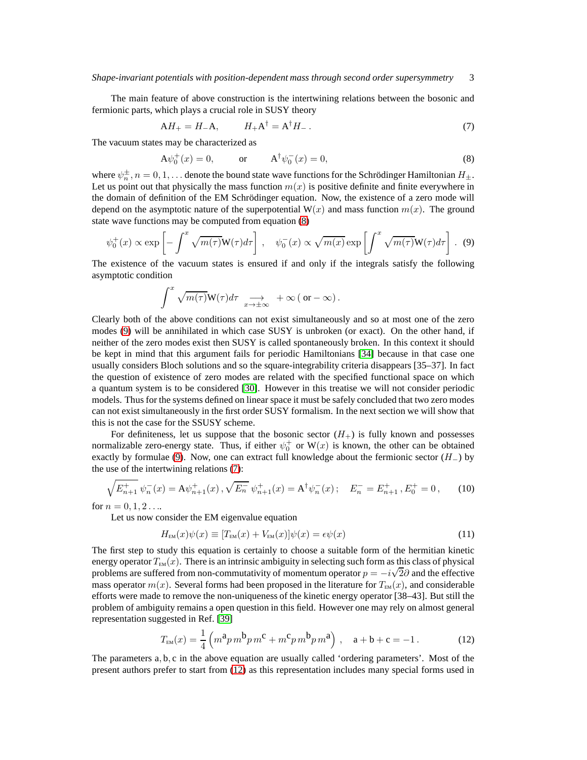The main feature of above construction is the intertwining relations between the bosonic and fermionic parts, which plays a crucial role in SUSY theory

<span id="page-2-2"></span>
$$
AH_{+}=H_{-}A, \qquad H_{+}A^{\dagger}=A^{\dagger}H_{-}.
$$
\n(7)

The vacuum states may be characterized as

<span id="page-2-0"></span>
$$
A\psi_0^+(x) = 0,
$$
 or  $A^{\dagger}\psi_0^-(x) = 0,$  (8)

where  $\psi_n^{\pm}$ ,  $n = 0, 1, \ldots$  denote the bound state wave functions for the Schrödinger Hamiltonian  $H_{\pm}$ . Let us point out that physically the mass function  $m(x)$  is positive definite and finite everywhere in the domain of definition of the EM Schrödinger equation. Now, the existence of a zero mode will depend on the asymptotic nature of the superpotential  $W(x)$  and mass function  $m(x)$ . The ground state wave functions may be computed from equation [\(8\)](#page-2-0)

$$
\psi_0^+(x) \propto \exp\left[-\int^x \sqrt{m(\tau)} \mathbf{W}(\tau) d\tau\right], \quad \psi_0^-(x) \propto \sqrt{m(x)} \exp\left[\int^x \sqrt{m(\tau)} \mathbf{W}(\tau) d\tau\right]. \tag{9}
$$

The existence of the vacuum states is ensured if and only if the integrals satisfy the following asymptotic condition

<span id="page-2-1"></span>
$$
\int^x \sqrt{m(\tau)} \mathbf{W}(\tau) d\tau \underset{x \to \pm \infty}{\longrightarrow} +\infty (\text{ or } -\infty).
$$

Clearly both of the above conditions can not exist simultaneously and so at most one of the zero modes [\(9\)](#page-2-1) will be annihilated in which case SUSY is unbroken (or exact). On the other hand, if neither of the zero modes exist then SUSY is called spontaneously broken. In this context it should be kept in mind that this argument fails for periodic Hamiltonians [\[34\]](#page-13-13) because in that case one usually considers Bloch solutions and so the square-integrability criteria disappears [35–37]. In fact the question of existence of zero modes are related with the specified functional space on which a quantum system is to be considered [\[30\]](#page-13-14). However in this treatise we will not consider periodic models. Thus for the systems defined on linear space it must be safely concluded that two zero modes can not exist simultaneously in the first order SUSY formalism. In the next section we will show that this is not the case for the SSUSY scheme.

For definiteness, let us suppose that the bosonic sector  $(H<sub>+</sub>)$  is fully known and possesses normalizable zero-energy state. Thus, if either  $\psi_0^+$  or  $W(x)$  is known, the other can be obtained exactly by formulae [\(9\)](#page-2-1). Now, one can extract full knowledge about the fermionic sector  $(H_-)$  by the use of the intertwining relations [\(7\)](#page-2-2):

$$
\sqrt{E_{n+1}^+} \ \psi_n^-(x) = A \psi_{n+1}^+(x) \ , \sqrt{E_n^-} \ \psi_{n+1}^+(x) = A^{\dagger} \psi_n^-(x) \ ; \quad E_n^- = E_{n+1}^+ \ , E_0^+ = 0 \ , \tag{10}
$$

for  $n = 0, 1, 2...$ 

Let us now consider the EM eigenvalue equation

<span id="page-2-5"></span><span id="page-2-4"></span>
$$
H_{EM}(x)\psi(x) \equiv [T_{EM}(x) + V_{EM}(x)]\psi(x) = \epsilon\psi(x)
$$
\n(11)

The first step to study this equation is certainly to choose a suitable form of the hermitian kinetic energy operator  $T_{EM}(x)$ . There is an intrinsic ambiguity in selecting such form as this class of physical problems are suffered from non-commutativity of momentum operator  $p = -i\sqrt{2}\partial$  and the effective problems mass operator  $m(x)$ . Several forms had been proposed in the literature for  $T_{EM}(x)$ , and considerable efforts were made to remove the non-uniqueness of the kinetic energy operator [38–43]. But still the problem of ambiguity remains a open question in this field. However one may rely on almost general representation suggested in Ref. [\[39\]](#page-13-15)

<span id="page-2-3"></span>
$$
T_{EM}(x) = \frac{1}{4} \left( m^2 p m^2 p m^2 + m^2 p m^2 p m^2 \right), \quad a + b + c = -1.
$$
 (12)

The parameters a, b, c in the above equation are usually called 'ordering parameters'. Most of the present authors prefer to start from [\(12\)](#page-2-3) as this representation includes many special forms used in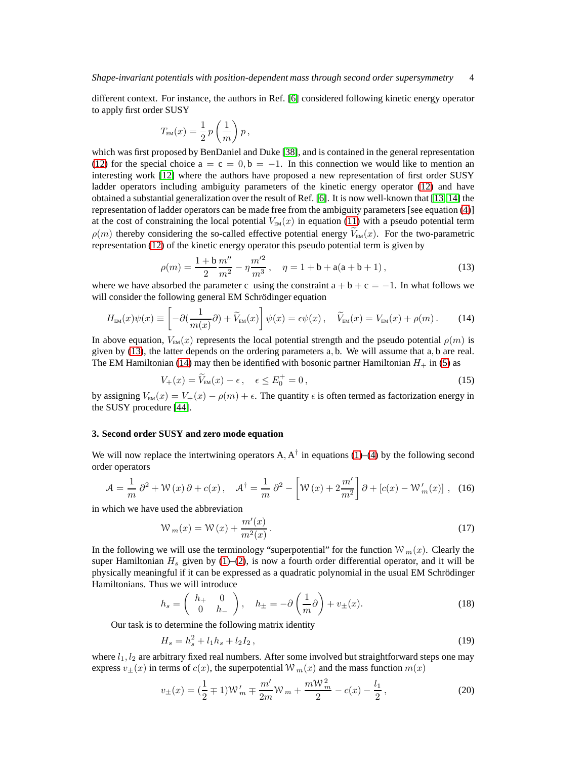different context. For instance, the authors in Ref. [\[6\]](#page-13-8) considered following kinetic energy operator to apply first order SUSY

$$
T_{\rm EM}(x) = \frac{1}{2} \, p \left( \frac{1}{m} \right) p \, ,
$$

which was first proposed by BenDaniel and Duke [\[38\]](#page-13-16), and is contained in the general representation [\(12\)](#page-2-3) for the special choice  $a = c = 0, b = -1$ . In this connection we would like to mention an interesting work [\[12\]](#page-13-9) where the authors have proposed a new representation of first order SUSY ladder operators including ambiguity parameters of the kinetic energy operator [\(12\)](#page-2-3) and have obtained a substantial generalization over the result of Ref. [\[6\]](#page-13-8). It is now well-known that [\[13,](#page-13-10) [14\]](#page-13-17) the representation of ladder operators can be made free from the ambiguity parameters [see equation [\(4\)](#page-1-2)] at the cost of constraining the local potential  $V_{EM}(x)$  in equation [\(11\)](#page-2-4) with a pseudo potential term  $\rho(m)$  thereby considering the so-called effective potential energy  $V_{EM}(x)$ . For the two-parametric representation [\(12\)](#page-2-3) of the kinetic energy operator this pseudo potential term is given by

<span id="page-3-1"></span>
$$
\rho(m) = \frac{1+b}{2} \frac{m''}{m^2} - \eta \frac{m'^2}{m^3}, \quad \eta = 1+b+a(a+b+1),
$$
\n(13)

where we have absorbed the parameter c using the constraint  $a + b + c = -1$ . In what follows we will consider the following general EM Schrödinger equation

<span id="page-3-2"></span>
$$
H_{EM}(x)\psi(x) \equiv \left[ -\partial \left( \frac{1}{m(x)} \partial \right) + \widetilde{V}_{EM}(x) \right] \psi(x) = \epsilon \psi(x) , \quad \widetilde{V}_{EM}(x) = V_{EM}(x) + \rho(m) . \tag{14}
$$

In above equation,  $V_{EM}(x)$  represents the local potential strength and the pseudo potential  $\rho(m)$  is given by [\(13\)](#page-3-1), the latter depends on the ordering parameters a, b. We will assume that a, b are real. The EM Hamiltonian [\(14\)](#page-3-2) may then be identified with bosonic partner Hamiltonian  $H_+$  in [\(5\)](#page-1-3) as

$$
V_{+}(x) = \widetilde{V}_{EM}(x) - \epsilon, \quad \epsilon \le E_0^+ = 0,
$$
\n(15)

by assigning  $V_{EM}(x) = V_+(x) - \rho(m) + \epsilon$ . The quantity  $\epsilon$  is often termed as factorization energy in the SUSY procedure [\[44\]](#page-13-18).

## <span id="page-3-0"></span>**3. Second order SUSY and zero mode equation**

We will now replace the intertwining operators  $A, A^{\dagger}$  in equations [\(1\)](#page-1-4)–[\(4\)](#page-1-2) by the following second order operators

$$
\mathcal{A} = \frac{1}{m} \partial^2 + \mathcal{W}(x) \partial + c(x), \quad \mathcal{A}^\dagger = \frac{1}{m} \partial^2 - \left[ \mathcal{W}(x) + 2 \frac{m'}{m^2} \right] \partial + \left[ c(x) - \mathcal{W}'_m(x) \right], \tag{16}
$$

in which we have used the abbreviation

<span id="page-3-6"></span>
$$
W_m(x) = W(x) + \frac{m'(x)}{m^2(x)}.
$$
\n(17)

In the following we will use the terminology "superpotential" for the function  $\mathcal{W}_m(x)$ . Clearly the super Hamiltonian  $H_s$  given by [\(1\)](#page-1-4)–[\(2\)](#page-1-5), is now a fourth order differential operator, and it will be physically meaningful if it can be expressed as a quadratic polynomial in the usual EM Schrödinger Hamiltonians. Thus we will introduce

<span id="page-3-4"></span>
$$
h_s = \begin{pmatrix} h_+ & 0 \\ 0 & h_- \end{pmatrix}, \quad h_{\pm} = -\partial \left(\frac{1}{m}\partial\right) + v_{\pm}(x). \tag{18}
$$

Our task is to determine the following matrix identity

<span id="page-3-3"></span>
$$
H_s = h_s^2 + l_1 h_s + l_2 I_2, \tag{19}
$$

where  $l_1, l_2$  are arbitrary fixed real numbers. After some involved but straightforward steps one may express  $v_{\pm}(x)$  in terms of  $c(x)$ , the superpotential  $W_m(x)$  and the mass function  $m(x)$ 

<span id="page-3-5"></span>
$$
v_{\pm}(x) = \left(\frac{1}{2} \mp 1\right) \mathcal{W}'_m \mp \frac{m'}{2m} \mathcal{W}_m + \frac{m \mathcal{W}_m^2}{2} - c(x) - \frac{l_1}{2},\tag{20}
$$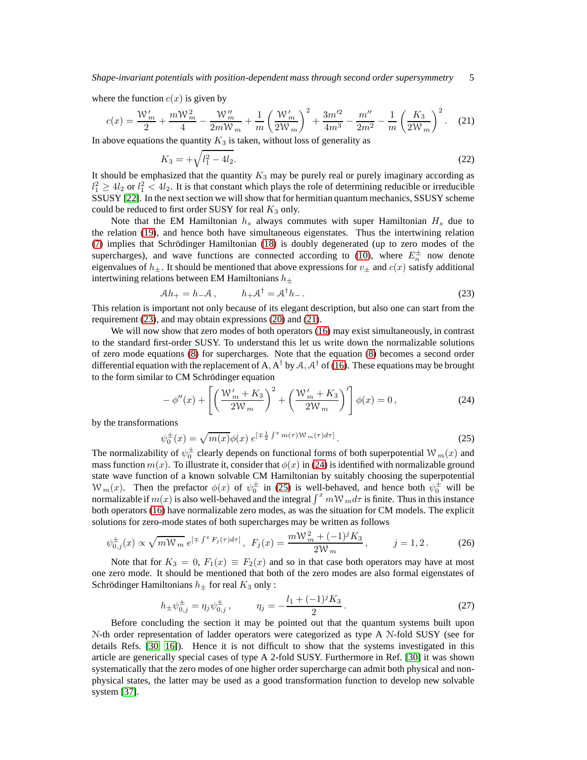where the function  $c(x)$  is given by

$$
c(x) = \frac{W_m'}{2} + \frac{mW_m^2}{4} - \frac{W_m''}{2mW_m} + \frac{1}{m} \left(\frac{W_m'}{2W_m}\right)^2 + \frac{3m'^2}{4m^3} - \frac{m''}{2m^2} - \frac{1}{m} \left(\frac{K_3}{2W_m}\right)^2.
$$
 (21)

In above equations the quantity  $K_3$  is taken, without loss of generality as

<span id="page-4-5"></span><span id="page-4-1"></span>
$$
K_3 = +\sqrt{l_1^2 - 4l_2}.\tag{22}
$$

It should be emphasized that the quantity  $K_3$  may be purely real or purely imaginary according as  $l_1^2 \geq 4l_2$  or  $l_1^2 < 4l_2$ . It is that constant which plays the role of determining reducible or irreducible SSUSY [\[22\]](#page-13-19). In the next section we will show that for hermitian quantum mechanics, SSUSY scheme could be reduced to first order SUSY for real  $K_3$  only.

Note that the EM Hamiltonian  $h_s$  always commutes with super Hamiltonian  $H_s$  due to the relation [\(19\)](#page-3-3), and hence both have simultaneous eigenstates. Thus the intertwining relation [\(7\)](#page-2-2) implies that Schrödinger Hamiltonian [\(18\)](#page-3-4) is doubly degenerated (up to zero modes of the supercharges), and wave functions are connected according to [\(10\)](#page-2-5), where  $E_n^{\pm}$  now denote eigenvalues of  $h_{\pm}$ . It should be mentioned that above expressions for  $v_{\pm}$  and  $c(x)$  satisfy additional intertwining relations between EM Hamiltonians  $h_{\pm}$ 

<span id="page-4-0"></span>
$$
\mathcal{A}h_+ = h_-\mathcal{A}\,, \qquad h_+\mathcal{A}^\dagger = \mathcal{A}^\dagger h_-\,. \tag{23}
$$

This relation is important not only because of its elegant description, but also one can start from the requirement [\(23\)](#page-4-0), and may obtain expressions [\(20\)](#page-3-5) and [\(21\)](#page-4-1).

We will now show that zero modes of both operators [\(16\)](#page-3-6) may exist simultaneously, in contrast to the standard first-order SUSY. To understand this let us write down the normalizable solutions of zero mode equations [\(8\)](#page-2-0) for supercharges. Note that the equation [\(8\)](#page-2-0) becomes a second order differential equation with the replacement of A,  $A^{\dagger}$  by A,  $A^{\dagger}$  of [\(16\)](#page-3-6). These equations may be brought to the form similar to CM Schrödinger equation

<span id="page-4-2"></span>
$$
-\phi''(x) + \left[ \left( \frac{\mathcal{W}'_m + K_3}{2\mathcal{W}_m} \right)^2 + \left( \frac{\mathcal{W}'_m + K_3}{2\mathcal{W}_m} \right)' \right] \phi(x) = 0, \tag{24}
$$

by the transformations

<span id="page-4-3"></span>
$$
\psi_0^{\pm}(x) = \sqrt{m(x)}\phi(x) e^{\left[\mp \frac{1}{2}\int^x m(\tau) \mathcal{W}_m(\tau) d\tau\right]}.
$$
\n(25)

The normalizability of  $\psi_0^{\pm}$  clearly depends on functional forms of both superpotential  ${\cal W}_m(x)$  and mass function  $m(x)$ . To illustrate it, consider that  $\phi(x)$  in [\(24\)](#page-4-2) is identified with normalizable ground state wave function of a known solvable CM Hamiltonian by suitably choosing the superpotential  $W_m(x)$ . Then the prefactor  $\phi(x)$  of  $\psi_0^{\pm}$  in [\(25\)](#page-4-3) is well-behaved, and hence both  $\psi_0^{\pm}$  will be normalizable if  $m(x)$  is also well-behaved and the integral  $\int^x mW_m d\tau$  is finite. Thus in this instance both operators [\(16\)](#page-3-6) have normalizable zero modes, as was the situation for CM models. The explicit solutions for zero-mode states of both supercharges may be written as follows

<span id="page-4-4"></span>
$$
\psi_{0,j}^{\pm}(x) \propto \sqrt{m \mathcal{W}_m} \, e^{[\mp \int^x F_j(\tau) d\tau]}, \, F_j(x) = \frac{m \mathcal{W}_m^2 + (-1)^j K_3}{2 \mathcal{W}_m}, \qquad j = 1, 2. \tag{26}
$$

Note that for  $K_3 = 0$ ,  $F_1(x) \equiv F_2(x)$  and so in that case both operators may have at most one zero mode. It should be mentioned that both of the zero modes are also formal eigenstates of Schrödinger Hamiltonians  $h_{\pm}$  for real  $K_3$  only :

<span id="page-4-6"></span>
$$
h_{\pm}\psi_{0,j}^{\pm} = \eta_j\psi_{0,j}^{\pm}, \qquad \eta_j = -\frac{l_1 + (-1)^j K_3}{2} \,. \tag{27}
$$

Before concluding the section it may be pointed out that the quantum systems built upon N-th order representation of ladder operators were categorized as type A N-fold SUSY (see for details Refs. [\[30,](#page-13-14) [16\]](#page-13-6)). Hence it is not difficult to show that the systems investigated in this article are generically special cases of type A 2-fold SUSY. Furthermore in Ref. [\[30\]](#page-13-14) it was shown systematically that the zero modes of one higher order supercharge can admit both physical and nonphysical states, the latter may be used as a good transformation function to develop new solvable system [\[37\]](#page-13-20).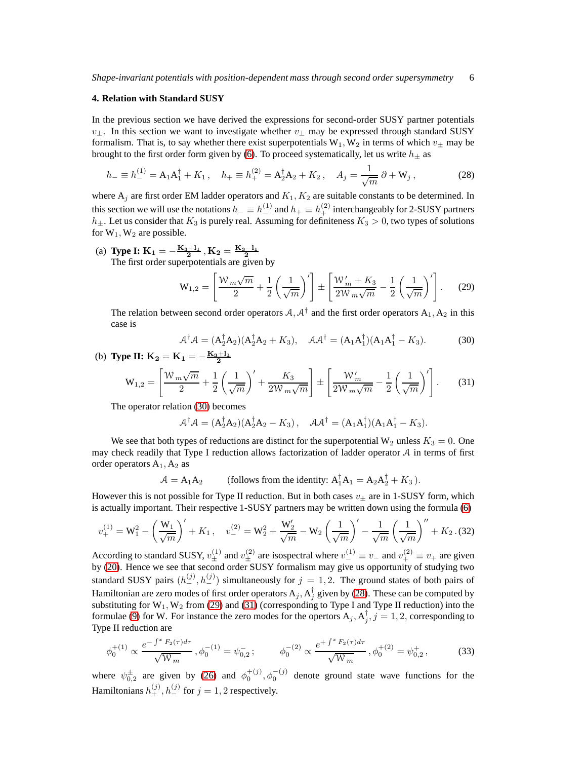#### <span id="page-5-0"></span>**4. Relation with Standard SUSY**

In the previous section we have derived the expressions for second-order SUSY partner potentials  $v_{\pm}$ . In this section we want to investigate whether  $v_{\pm}$  may be expressed through standard SUSY formalism. That is, to say whether there exist superpotentials  $W_1, W_2$  in terms of which  $v_{\pm}$  may be brought to the first order form given by [\(6\)](#page-1-6). To proceed systematically, let us write  $h_{\pm}$  as

<span id="page-5-2"></span>
$$
h_{-} \equiv h_{-}^{(1)} = A_{1}A_{1}^{\dagger} + K_{1}, \quad h_{+} \equiv h_{+}^{(2)} = A_{2}^{\dagger}A_{2} + K_{2}, \quad A_{j} = \frac{1}{\sqrt{m}} \partial + W_{j}, \tag{28}
$$

where  $A_i$  are first order EM ladder operators and  $K_1, K_2$  are suitable constants to be determined. In this section we will use the notations  $h_-\equiv h_{-}^{(1)}$  and  $h_+\equiv h_{+}^{(2)}$  interchangeably for 2-SUSY partners  $h_{\pm}$ . Let us consider that  $K_3$  is purely real. Assuming for definiteness  $K_3 > 0$ , two types of solutions for  $W_1$ ,  $W_2$  are possible.

(a) **Type I:**  $K_1 = -\frac{K_3+1_1}{2}$ ,  $K_2 = \frac{K_3-1_1}{2}$ <br>The first order superpotentials are given by

<span id="page-5-3"></span>
$$
\mathbf{W}_{1,2} = \left[ \frac{\mathcal{W}_m \sqrt{m}}{2} + \frac{1}{2} \left( \frac{1}{\sqrt{m}} \right)' \right] \pm \left[ \frac{\mathcal{W}_m' + K_3}{2\mathcal{W}_m \sqrt{m}} - \frac{1}{2} \left( \frac{1}{\sqrt{m}} \right)' \right].
$$
 (29)

The relation between second order operators  $A, A^{\dagger}$  and the first order operators  $A_1, A_2$  in this case is

<span id="page-5-1"></span>
$$
\mathcal{A}^{\dagger}\mathcal{A} = (\mathbf{A}_2^{\dagger}\mathbf{A}_2)(\mathbf{A}_2^{\dagger}\mathbf{A}_2 + K_3), \quad \mathcal{A}\mathcal{A}^{\dagger} = (\mathbf{A}_1\mathbf{A}_1^{\dagger})(\mathbf{A}_1\mathbf{A}_1^{\dagger} - K_3).
$$
 (30)

(b) Type II: 
$$
K_2 = K_1 = -\frac{K_3+1_1}{2}
$$
  
\n
$$
W_{1,2} = \left[\frac{W_m\sqrt{m}}{2} + \frac{1}{2}\left(\frac{1}{\sqrt{m}}\right) + \frac{K_3}{2W_m\sqrt{m}}\right] \pm \left[\frac{W_m'}{2W_m\sqrt{m}} - \frac{1}{2}\left(\frac{1}{\sqrt{m}}\right)'\right].
$$
\n(31)

The operator relation [\(30\)](#page-5-1) becomes

<span id="page-5-4"></span>
$$
\mathcal{A}^{\dagger} \mathcal{A} = (A_2^{\dagger} A_2)(A_2^{\dagger} A_2 - K_3), \quad \mathcal{A} \mathcal{A}^{\dagger} = (A_1 A_1^{\dagger})(A_1 A_1^{\dagger} - K_3).
$$

We see that both types of reductions are distinct for the superpotential  $W_2$  unless  $K_3 = 0$ . One may check readily that Type I reduction allows factorization of ladder operator  $A$  in terms of first order operators  $A_1$ ,  $A_2$  as

<span id="page-5-5"></span>
$$
\mathcal{A} = A_1 A_2 \qquad \text{(follows from the identity: } A_1^{\dagger} A_1 = A_2 A_2^{\dagger} + K_3 \text{)}.
$$

However this is not possible for Type II reduction. But in both cases  $v_{\pm}$  are in 1-SUSY form, which is actually important. Their respective 1-SUSY partners may be written down using the formula [\(6\)](#page-1-6)

$$
v_{+}^{(1)} = W_{1}^{2} - \left(\frac{W_{1}}{\sqrt{m}}\right)' + K_{1}, \quad v_{-}^{(2)} = W_{2}^{2} + \frac{W_{2}'}{\sqrt{m}} - W_{2}\left(\frac{1}{\sqrt{m}}\right)' - \frac{1}{\sqrt{m}}\left(\frac{1}{\sqrt{m}}\right)'' + K_{2}.
$$
(32)

According to standard SUSY,  $v_{\pm}^{(1)}$  and  $v_{\pm}^{(2)}$  are isospectral where  $v_{-}^{(1)} \equiv v_{-}$  and  $v_{+}^{(2)} \equiv v_{+}$  are given by [\(20\)](#page-3-5). Hence we see that second order SUSY formalism may give us opportunity of studying two standard SUSY pairs  $(h_+^{(j)}, h_-^{(j)})$  simultaneously for  $j = 1, 2$ . The ground states of both pairs of Hamiltonian are zero modes of first order operators  $A_j$ ,  $A_j^{\dagger}$  given by [\(28\)](#page-5-2). These can be computed by substituting for  $W_1$ ,  $W_2$  from [\(29\)](#page-5-3) and [\(31\)](#page-5-4) (corresponding to Type I and Type II reduction) into the formulae [\(9\)](#page-2-1) for W. For instance the zero modes for the opertors  $A_j$ ,  $A_j^{\dagger}$ ,  $j = 1, 2$ , corresponding to Type II reduction are

<span id="page-5-6"></span>
$$
\phi_0^{+(1)} \propto \frac{e^{-\int^x F_2(\tau)d\tau}}{\sqrt{W_m}}, \phi_0^{-(1)} = \psi_{0,2}^-; \qquad \phi_0^{-(2)} \propto \frac{e^{+\int^x F_2(\tau)d\tau}}{\sqrt{W_m}}, \phi_0^{+(2)} = \psi_{0,2}^+, \tag{33}
$$

where  $\psi_{0,2}^{\pm}$  are given by [\(26\)](#page-4-4) and  $\phi_0^{+(j)}$ ,  $\phi_0^{-(j)}$  denote ground state wave functions for the Hamiltonians  $h_{+}^{(j)}$ ,  $h_{-}^{(j)}$  for  $j=1,2$  respectively.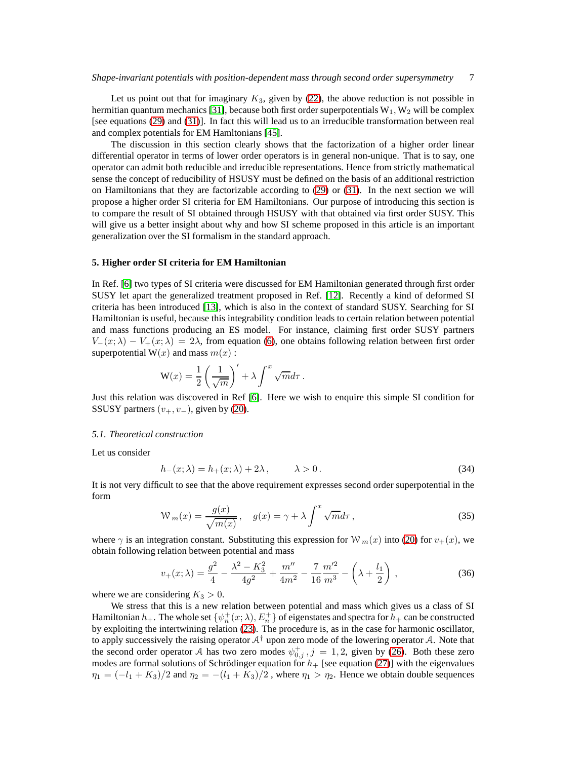Let us point out that for imaginary  $K_3$ , given by [\(22\)](#page-4-5), the above reduction is not possible in hermitian quantum mechanics [\[31\]](#page-13-21), because both first order superpotentials  $W_1, W_2$  will be complex [see equations [\(29\)](#page-5-3) and [\(31\)](#page-5-4)]. In fact this will lead us to an irreducible transformation between real and complex potentials for EM Hamltonians [\[45\]](#page-13-22).

The discussion in this section clearly shows that the factorization of a higher order linear differential operator in terms of lower order operators is in general non-unique. That is to say, one operator can admit both reducible and irreducible representations. Hence from strictly mathematical sense the concept of reducibility of HSUSY must be defined on the basis of an additional restriction on Hamiltonians that they are factorizable according to [\(29\)](#page-5-3) or [\(31\)](#page-5-4). In the next section we will propose a higher order SI criteria for EM Hamiltonians. Our purpose of introducing this section is to compare the result of SI obtained through HSUSY with that obtained via first order SUSY. This will give us a better insight about why and how SI scheme proposed in this article is an important generalization over the SI formalism in the standard approach.

#### <span id="page-6-0"></span>**5. Higher order SI criteria for EM Hamiltonian**

In Ref. [\[6\]](#page-13-8) two types of SI criteria were discussed for EM Hamiltonian generated through first order SUSY let apart the generalized treatment proposed in Ref. [\[12\]](#page-13-9). Recently a kind of deformed SI criteria has been introduced [\[13\]](#page-13-10), which is also in the context of standard SUSY. Searching for SI Hamiltonian is useful, because this integrability condition leads to certain relation between potential and mass functions producing an ES model. For instance, claiming first order SUSY partners  $V_-(x; \lambda) - V_+(x; \lambda) = 2\lambda$ , from equation [\(6\)](#page-1-6), one obtains following relation between first order superpotential  $W(x)$  and mass  $m(x)$ :

$$
\mathbf{W}(x) = \frac{1}{2} \left( \frac{1}{\sqrt{m}} \right)' + \lambda \int^x \sqrt{m} d\tau.
$$

Just this relation was discovered in Ref [\[6\]](#page-13-8). Here we wish to enquire this simple SI condition for SSUSY partners  $(v_+, v_-)$ , given by [\(20\)](#page-3-5).

#### <span id="page-6-4"></span>*5.1. Theoretical construction*

Let us consider

<span id="page-6-1"></span>
$$
h_{-}(x; \lambda) = h_{+}(x; \lambda) + 2\lambda, \qquad \lambda > 0.
$$
\n
$$
(34)
$$

It is not very difficult to see that the above requirement expresses second order superpotential in the form

<span id="page-6-2"></span>
$$
W_m(x) = \frac{g(x)}{\sqrt{m(x)}}, \quad g(x) = \gamma + \lambda \int^x \sqrt{m} d\tau,
$$
\n(35)

where  $\gamma$  is an integration constant. Substituting this expression for W<sub>m</sub>(x) into [\(20\)](#page-3-5) for  $v_{+}(x)$ , we obtain following relation between potential and mass

<span id="page-6-3"></span>
$$
v_{+}(x;\lambda) = \frac{g^{2}}{4} - \frac{\lambda^{2} - K_{3}^{2}}{4g^{2}} + \frac{m''}{4m^{2}} - \frac{7}{16}\frac{m'^{2}}{m^{3}} - \left(\lambda + \frac{l_{1}}{2}\right),
$$
 (36)

where we are considering  $K_3 > 0$ .

We stress that this is a new relation between potential and mass which gives us a class of SI Hamiltonian  $h_+$ . The whole set  $\{\psi_n^+(x;\lambda), E_n^+\}$  of eigenstates and spectra for  $h_+$  can be constructed by exploiting the intertwining relation [\(23\)](#page-4-0). The procedure is, as in the case for harmonic oscillator, to apply successively the raising operator  $A^{\dagger}$  upon zero mode of the lowering operator A. Note that the second order operator A has two zero modes  $\psi_{0,j}^+$ ,  $j = 1, 2$ , given by [\(26\)](#page-4-4). Both these zero modes are formal solutions of Schrödinger equation for  $h_+$  [see equation [\(27\)](#page-4-6)] with the eigenvalues  $\eta_1 = (-l_1 + K_3)/2$  and  $\eta_2 = -(l_1 + K_3)/2$ , where  $\eta_1 > \eta_2$ . Hence we obtain double sequences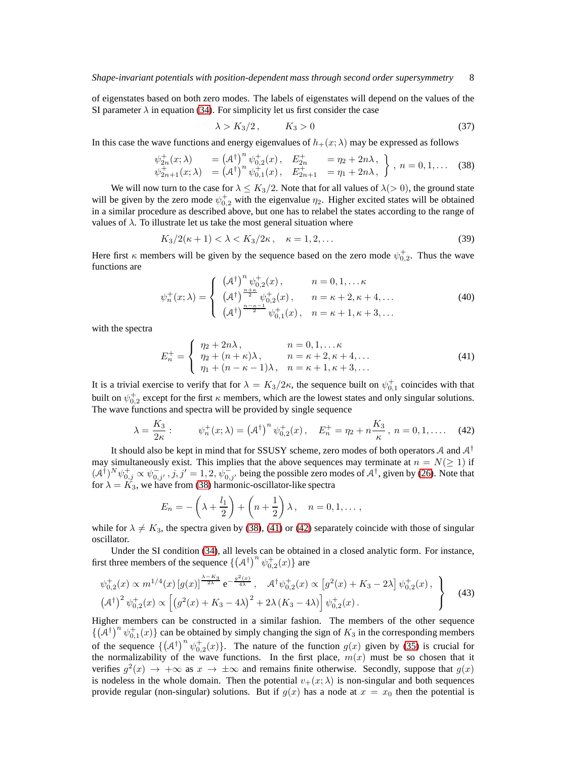of eigenstates based on both zero modes. The labels of eigenstates will depend on the values of the SI parameter  $\lambda$  in equation [\(34\)](#page-6-1). For simplicity let us first consider the case

$$
\lambda > K_3/2, \qquad K_3 > 0 \tag{37}
$$

In this case the wave functions and energy eigenvalues of  $h_+(x; \lambda)$  may be expressed as follows

<span id="page-7-0"></span>
$$
\psi_{2n}^+(x; \lambda) = (A^{\dagger})^n \psi_{0,2}^+(x), \quad E_{2n}^+ = \eta_2 + 2n\lambda,\\
\psi_{2n+1}^+(x; \lambda) = (A^{\dagger})^n \psi_{0,1}^+(x), \quad E_{2n+1}^+ = \eta_1 + 2n\lambda,\\
\}
$$
,  $n = 0, 1, \ldots$  (38)

We will now turn to the case for  $\lambda \leq K_3/2$ . Note that for all values of  $\lambda(>0)$ , the ground state will be given by the zero mode  $\psi_{0,2}^+$  with the eigenvalue  $\eta_2$ . Higher excited states will be obtained in a similar procedure as described above, but one has to relabel the states according to the range of values of  $\lambda$ . To illustrate let us take the most general situation where

<span id="page-7-4"></span>
$$
K_3/2(\kappa+1) < \lambda < K_3/2\kappa \,, \quad \kappa = 1, 2, \dots \tag{39}
$$

Here first  $\kappa$  members will be given by the sequence based on the zero mode  $\psi_{0,2}^{\dagger}$ . Thus the wave functions are

$$
\psi_n^+(x;\lambda) = \begin{cases}\n(\mathcal{A}^{\dagger})^n \psi_{0,2}^+(x), & n = 0,1,\dots \kappa \\
(\mathcal{A}^{\dagger})^{\frac{n+\kappa}{2}} \psi_{0,2}^+(x), & n = \kappa + 2, \kappa + 4,\dots \\
(\mathcal{A}^{\dagger})^{\frac{n-\kappa-1}{2}} \psi_{0,1}^+(x), & n = \kappa + 1, \kappa + 3,\dots\n\end{cases}
$$
\n(40)

with the spectra

<span id="page-7-1"></span>
$$
E_n^+ = \begin{cases} \eta_2 + 2n\lambda, & n = 0, 1, \dots \kappa \\ \eta_2 + (n + \kappa)\lambda, & n = \kappa + 2, \kappa + 4, \dots \\ \eta_1 + (n - \kappa - 1)\lambda, & n = \kappa + 1, \kappa + 3, \dots \end{cases}
$$
(41)

It is a trivial exercise to verify that for  $\lambda = K_3/2\kappa$ , the sequence built on  $\psi_{0,1}^+$  coincides with that built on  $\psi_{0,2}^+$  except for the first  $\kappa$  members, which are the lowest states and only singular solutions. The wave functions and spectra will be provided by single sequence

<span id="page-7-2"></span>
$$
\lambda = \frac{K_3}{2\kappa} : \qquad \psi_n^+(x;\lambda) = \left(\mathcal{A}^\dagger\right)^n \psi_{0,2}^+(x) \,, \quad E_n^+ = \eta_2 + n\frac{K_3}{\kappa} \,, \ n = 0, 1, \dots \quad (42)
$$

It should also be kept in mind that for SSUSY scheme, zero modes of both operators A and  $A^{\dagger}$ may simultaneously exist. This implies that the above sequences may terminate at  $n = N(\geq 1)$  if  $(A^{\dagger})^N \psi^+_{0,j} \propto \psi^-_{0,j'}$ ,  $j, j' = 1, 2, \psi^-_{0,j'}$  being the possible zero modes of  $A^{\dagger}$ , given by [\(26\)](#page-4-4). Note that for  $\lambda = K_3$ , we have from [\(38\)](#page-7-0) harmonic-oscillator-like spectra

$$
E_n = -\left(\lambda + \frac{l_1}{2}\right) + \left(n + \frac{1}{2}\right)\lambda, \quad n = 0, 1, \dots,
$$

while for  $\lambda \neq K_3$ , the spectra given by [\(38\)](#page-7-0), [\(41\)](#page-7-1) or [\(42\)](#page-7-2) separately coincide with those of singular oscillator.

Under the SI condition [\(34\)](#page-6-1), all levels can be obtained in a closed analytic form. For instance, first three members of the sequence  $\{(\mathcal{A}^{\dagger})^n \psi_{0,2}^+(x)\}\$ are

<span id="page-7-3"></span>
$$
\psi_{0,2}^{+}(x) \propto m^{1/4}(x) \left[ g(x) \right]^{\frac{\lambda - K_3}{2\lambda}} e^{-\frac{g^2(x)}{4\lambda}}, \quad \mathcal{A}^{\dagger} \psi_{0,2}^{+}(x) \propto \left[ g^2(x) + K_3 - 2\lambda \right] \psi_{0,2}^{+}(x) ,
$$
\n
$$
\left( \mathcal{A}^{\dagger} \right)^2 \psi_{0,2}^{+}(x) \propto \left[ \left( g^2(x) + K_3 - 4\lambda \right)^2 + 2\lambda \left( K_3 - 4\lambda \right) \right] \psi_{0,2}^{+}(x) . \tag{43}
$$

Higher members can be constructed in a similar fashion. The members of the other sequence  $\{(\tilde{\mathcal{A}}^{\dagger})^n \psi_{0,1}^+(x)\}$  can be obtained by simply changing the sign of  $K_3$  in the corresponding members of the sequence  $\{(\mathcal{A}^{\dagger})^n \psi_{0,2}^+(x)\}$ . The nature of the function  $g(x)$  given by [\(35\)](#page-6-2) is crucial for the normalizability of the wave functions. In the first place,  $m(x)$  must be so chosen that it verifies  $g^2(x) \to +\infty$  as  $x \to \pm\infty$  and remains finite otherwise. Secondly, suppose that  $g(x)$ is nodeless in the whole domain. Then the potential  $v_+(x; \lambda)$  is non-singular and both sequences provide regular (non-singular) solutions. But if  $g(x)$  has a node at  $x = x_0$  then the potential is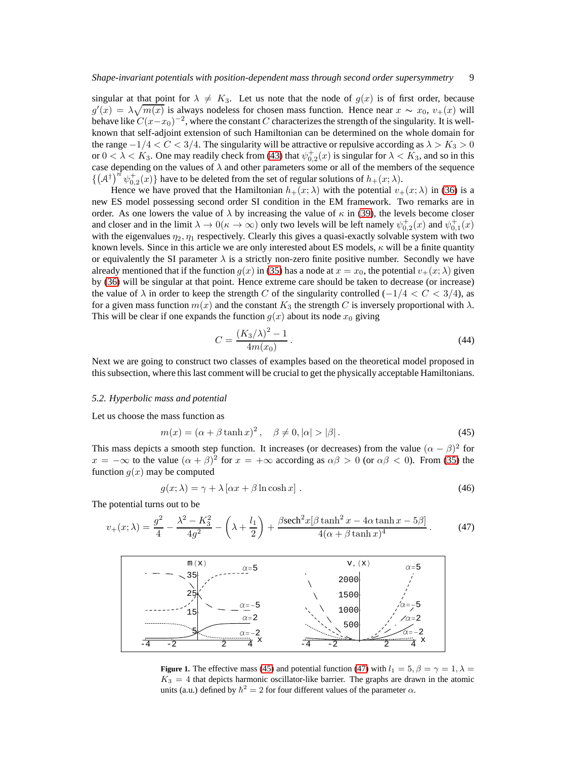singular at that point for  $\lambda \neq K_3$ . Let us note that the node of  $g(x)$  is of first order, because  $g'(x) = \lambda \sqrt{m(x)}$  is always nodeless for chosen mass function. Hence near  $x \sim x_0$ ,  $v_+(x)$  will behave like  $C(x-x_0)^{-2}$ , where the constant C characterizes the strength of the singularity. It is wellknown that self-adjoint extension of such Hamiltonian can be determined on the whole domain for the range  $-1/4 < C < 3/4$ . The singularity will be attractive or repulsive according as  $\lambda > K_3 > 0$ or  $0 < \lambda < K_3$ . One may readily check from [\(43\)](#page-7-3) that  $\psi_{0,2}^+(x)$  is singular for  $\lambda < K_3$ , and so in this case depending on the values of  $\lambda$  and other parameters some or all of the members of the sequence  $\{ (A^{\dagger})^{n} \psi_{0,2}^{+}(x) \}$  have to be deleted from the set of regular solutions of  $h_{+}(x; \lambda)$ .

Hence we have proved that the Hamiltonian  $h_+(x; \lambda)$  with the potential  $v_+(x; \lambda)$  in [\(36\)](#page-6-3) is a new ES model possessing second order SI condition in the EM framework. Two remarks are in order. As one lowers the value of  $\lambda$  by increasing the value of  $\kappa$  in [\(39\)](#page-7-4), the levels become closer and closer and in the limit  $\lambda \to 0(\kappa \to \infty)$  only two levels will be left namely  $\psi_{0,2}^+(x)$  and  $\psi_{0,1}^+(x)$ with the eigenvalues  $\eta_2$ ,  $\eta_1$  respectively. Clearly this gives a quasi-exactly solvable system with two known levels. Since in this article we are only interested about ES models,  $\kappa$  will be a finite quantity or equivalently the SI parameter  $\lambda$  is a strictly non-zero finite positive number. Secondly we have already mentioned that if the function  $q(x)$  in [\(35\)](#page-6-2) has a node at  $x = x<sub>0</sub>$ , the potential  $v<sub>+</sub>(x; \lambda)$  given by [\(36\)](#page-6-3) will be singular at that point. Hence extreme care should be taken to decrease (or increase) the value of  $\lambda$  in order to keep the strength C of the singularity controlled ( $-1/4 < C < 3/4$ ), as for a given mass function  $m(x)$  and the constant  $K_3$  the strength C is inversely proportional with  $\lambda$ . This will be clear if one expands the function  $g(x)$  about its node  $x_0$  giving

<span id="page-8-4"></span>
$$
C = \frac{(K_3/\lambda)^2 - 1}{4m(x_0)}.
$$
\n(44)

Next we are going to construct two classes of examples based on the theoretical model proposed in this subsection, where this last comment will be crucial to get the physically acceptable Hamiltonians.

### *5.2. Hyperbolic mass and potential*

Let us choose the mass function as

<span id="page-8-0"></span>
$$
m(x) = (\alpha + \beta \tanh x)^2, \quad \beta \neq 0, |\alpha| > |\beta|.
$$
 (45)

This mass depicts a smooth step function. It increases (or decreases) from the value  $(\alpha - \beta)^2$  for  $x = -\infty$  to the value  $(\alpha + \beta)^2$  for  $x = +\infty$  according as  $\alpha\beta > 0$  (or  $\alpha\beta < 0$ ). From [\(35\)](#page-6-2) the function  $g(x)$  may be computed

<span id="page-8-3"></span><span id="page-8-1"></span>
$$
g(x; \lambda) = \gamma + \lambda \left[ \alpha x + \beta \ln \cosh x \right]. \tag{46}
$$

The potential turns out to be

$$
v_{+}(x;\lambda) = \frac{g^{2}}{4} - \frac{\lambda^{2} - K_{3}^{2}}{4g^{2}} - \left(\lambda + \frac{l_{1}}{2}\right) + \frac{\beta \text{sech}^{2} x [\beta \tanh^{2} x - 4\alpha \tanh x - 5\beta]}{4(\alpha + \beta \tanh x)^{4}}.
$$
 (47)



<span id="page-8-2"></span>**Figure 1.** The effective mass [\(45\)](#page-8-0) and potential function [\(47\)](#page-8-1) with  $l_1 = 5$ ,  $\beta = \gamma = 1$ ,  $\lambda =$  $K_3 = 4$  that depicts harmonic oscillator-like barrier. The graphs are drawn in the atomic units (a.u.) defined by  $\hbar^2 = 2$  for four different values of the parameter  $\alpha$ .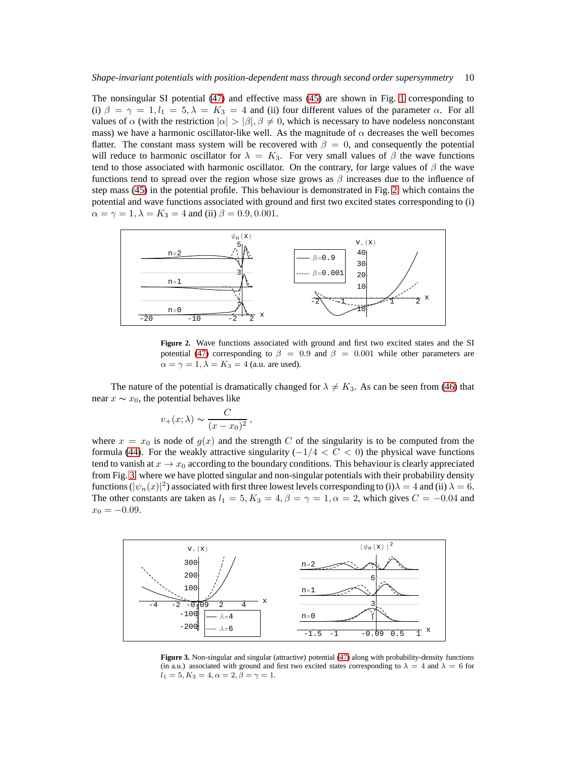The nonsingular SI potential [\(47\)](#page-8-1) and effective mass [\(45\)](#page-8-0) are shown in Fig. [1](#page-8-2) corresponding to (i)  $\beta = \gamma = 1, l_1 = 5, \lambda = K_3 = 4$  and (ii) four different values of the parameter  $\alpha$ . For all values of  $\alpha$  (with the restriction  $|\alpha| > |\beta|$ ,  $\beta \neq 0$ , which is necessary to have nodeless nonconstant mass) we have a harmonic oscillator-like well. As the magnitude of  $\alpha$  decreases the well becomes flatter. The constant mass system will be recovered with  $\beta = 0$ , and consequently the potential will reduce to harmonic oscillator for  $\lambda = K_3$ . For very small values of  $\beta$  the wave functions tend to those associated with harmonic oscillator. On the contrary, for large values of  $\beta$  the wave functions tend to spread over the region whose size grows as  $\beta$  increases due to the influence of step mass [\(45\)](#page-8-0) in the potential profile. This behaviour is demonstrated in Fig. [2,](#page-9-0) which contains the potential and wave functions associated with ground and first two excited states corresponding to (i)  $\alpha = \gamma = 1, \lambda = K_3 = 4$  and (ii)  $\beta = 0.9, 0.001$ .



<span id="page-9-0"></span>**Figure 2.** Wave functions associated with ground and first two excited states and the SI potential [\(47\)](#page-8-1) corresponding to  $\beta = 0.9$  and  $\beta = 0.001$  while other parameters are  $\alpha = \gamma = 1, \lambda = K_3 = 4$  (a.u. are used).

The nature of the potential is dramatically changed for  $\lambda \neq K_3$ . As can be seen from [\(46\)](#page-8-3) that near  $x \sim x_0$ , the potential behaves like

$$
v_{+}(x;\lambda) \sim \frac{C}{(x-x_0)^2},
$$

where  $x = x_0$  is node of  $g(x)$  and the strength C of the singularity is to be computed from the formula [\(44\)](#page-8-4). For the weakly attractive singularity ( $-1/4 < C < 0$ ) the physical wave functions tend to vanish at  $x \to x_0$  according to the boundary conditions. This behaviour is clearly appreciated from Fig. [3,](#page-9-1) where we have plotted singular and non-singular potentials with their probability density functions  $(|\psi_n(x)|^2)$  associated with first three lowest levels corresponding to (i)  $\lambda = 4$  and (ii)  $\lambda = 6$ . The other constants are taken as  $l_1 = 5, K_3 = 4, \beta = \gamma = 1, \alpha = 2$ , which gives  $C = -0.04$  and  $x_0 = -0.09$ .



<span id="page-9-1"></span>**Figure 3.** Non-singular and singular (attractive) potential [\(47\)](#page-8-1) along with probability-density functions (in a.u.) associated with ground and first two excited states corresponding to  $\lambda = 4$  and  $\lambda = 6$  for  $l_1 = 5, K_3 = 4, \alpha = 2, \beta = \gamma = 1.$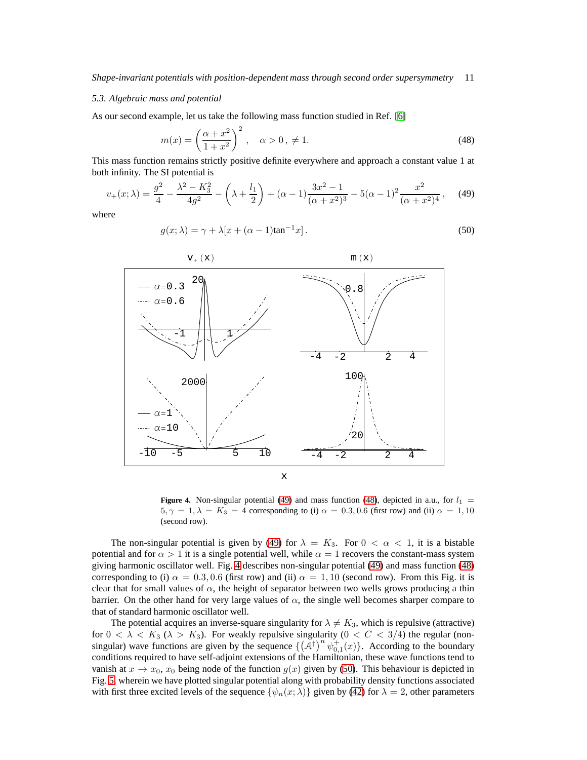### *5.3. Algebraic mass and potential*

As our second example, let us take the following mass function studied in Ref. [\[6\]](#page-13-8)

<span id="page-10-1"></span>
$$
m(x) = \left(\frac{\alpha + x^2}{1 + x^2}\right)^2, \quad \alpha > 0, \neq 1.
$$
 (48)

This mass function remains strictly positive definite everywhere and approach a constant value 1 at both infinity. The SI potential is

$$
v_{+}(x;\lambda) = \frac{g^{2}}{4} - \frac{\lambda^{2} - K_{3}^{2}}{4g^{2}} - \left(\lambda + \frac{l_{1}}{2}\right) + (\alpha - 1)\frac{3x^{2} - 1}{(\alpha + x^{2})^{3}} - 5(\alpha - 1)^{2}\frac{x^{2}}{(\alpha + x^{2})^{4}},
$$
 (49)

where

<span id="page-10-3"></span><span id="page-10-0"></span>
$$
g(x; \lambda) = \gamma + \lambda [x + (\alpha - 1)\tan^{-1} x].
$$
\n(50)



<span id="page-10-2"></span>**Figure 4.** Non-singular potential [\(49\)](#page-10-0) and mass function [\(48\)](#page-10-1), depicted in a.u., for  $l_1$  =  $5, \gamma = 1, \lambda = K_3 = 4$  corresponding to (i)  $\alpha = 0.3, 0.6$  (first row) and (ii)  $\alpha = 1, 10$ (second row).

The non-singular potential is given by [\(49\)](#page-10-0) for  $\lambda = K_3$ . For  $0 < \alpha < 1$ , it is a bistable potential and for  $\alpha > 1$  it is a single potential well, while  $\alpha = 1$  recovers the constant-mass system giving harmonic oscillator well. Fig. [4](#page-10-2) describes non-singular potential [\(49\)](#page-10-0) and mass function [\(48\)](#page-10-1) corresponding to (i)  $\alpha = 0.3, 0.6$  (first row) and (ii)  $\alpha = 1, 10$  (second row). From this Fig. it is clear that for small values of  $\alpha$ , the height of separator between two wells grows producing a thin barrier. On the other hand for very large values of  $\alpha$ , the single well becomes sharper compare to that of standard harmonic oscillator well.

The potential acquires an inverse-square singularity for  $\lambda \neq K_3$ , which is repulsive (attractive) for  $0 < \lambda < K_3$  ( $\lambda > K_3$ ). For weakly repulsive singularity ( $0 < C < 3/4$ ) the regular (nonsingular) wave functions are given by the sequence  $\{(\tilde{\mathcal{A}}^{\dagger})^n \psi_{0,1}^+(x)\}$ . According to the boundary conditions required to have self-adjoint extensions of the Hamiltonian, these wave functions tend to vanish at  $x \to x_0$ ,  $x_0$  being node of the function  $g(x)$  given by [\(50\)](#page-10-3). This behaviour is depicted in Fig. [5,](#page-11-0) wherein we have plotted singular potential along with probability density functions associated with first three excited levels of the sequence  $\{\psi_n(x; \lambda)\}\$  given by [\(42\)](#page-7-2) for  $\lambda = 2$ , other parameters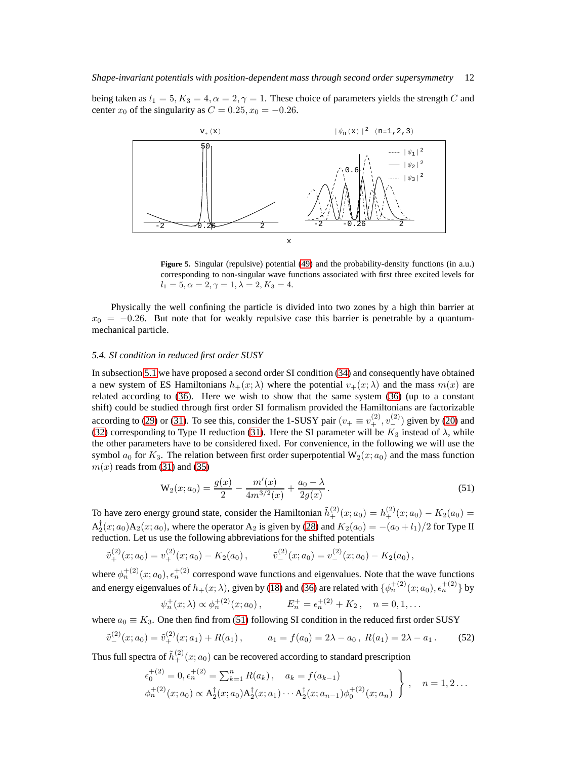being taken as  $l_1 = 5, K_3 = 4, \alpha = 2, \gamma = 1$ . These choice of parameters yields the strength C and center  $x_0$  of the singularity as  $C = 0.25, x_0 = -0.26$ .



<span id="page-11-0"></span>**Figure 5.** Singular (repulsive) potential [\(49\)](#page-10-0) and the probability-density functions (in a.u.) corresponding to non-singular wave functions associated with first three excited levels for  $l_1 = 5, \alpha = 2, \gamma = 1, \lambda = 2, K_3 = 4.$ 

Physically the well confining the particle is divided into two zones by a high thin barrier at  $x_0 = -0.26$ . But note that for weakly repulsive case this barrier is penetrable by a quantummechanical particle.

#### *5.4. SI condition in reduced first order SUSY*

In subsection [5.1](#page-6-4) we have proposed a second order SI condition [\(34\)](#page-6-1) and consequently have obtained a new system of ES Hamiltonians  $h_+(x; \lambda)$  where the potential  $v_+(x; \lambda)$  and the mass  $m(x)$  are related according to [\(36\)](#page-6-3). Here we wish to show that the same system [\(36\)](#page-6-3) (up to a constant shift) could be studied through first order SI formalism provided the Hamiltonians are factorizable according to [\(29\)](#page-5-3) or [\(31\)](#page-5-4). To see this, consider the 1-SUSY pair  $(v_+ \equiv v_+^{(2)}, v_-^{(2)})$  given by [\(20\)](#page-3-5) and [\(32\)](#page-5-5) corresponding to Type II reduction [\(31\)](#page-5-4). Here the SI parameter will be  $K_3$  instead of  $\lambda$ , while the other parameters have to be considered fixed. For convenience, in the following we will use the symbol  $a_0$  for  $K_3$ . The relation between first order superpotential  $W_2(x; a_0)$  and the mass function  $m(x)$  reads from [\(31\)](#page-5-4) and [\(35\)](#page-6-2)

<span id="page-11-1"></span>
$$
\mathbf{W}_2(x; a_0) = \frac{g(x)}{2} - \frac{m'(x)}{4m^{3/2}(x)} + \frac{a_0 - \lambda}{2g(x)}.
$$
\n(51)

To have zero energy ground state, consider the Hamiltonian  $\tilde{h}^{(2)}_+(x; a_0) = h^{(2)}_+(x; a_0) - K_2(a_0) =$  $A_2^{\dagger}(x;a_0)A_2(x;a_0)$ , where the operator  $A_2$  is given by [\(28\)](#page-5-2) and  $K_2(a_0) = -(a_0 + l_1)/2$  for Type II reduction. Let us use the following abbreviations for the shifted potentials

$$
\tilde{v}_+^{(2)}(x;a_0) = v_+^{(2)}(x;a_0) - K_2(a_0), \qquad \tilde{v}_-^{(2)}(x;a_0) = v_-^{(2)}(x;a_0) - K_2(a_0),
$$

where  $\phi_n^{+(2)}(x; a_0), \epsilon_n^{+(2)}$  correspond wave functions and eigenvalues. Note that the wave functions and energy eigenvalues of  $h_+(x; \lambda)$ , given by [\(18\)](#page-3-4) and [\(36\)](#page-6-3) are related with  $\{\phi_n^{+(2)}(x; a_0), \epsilon_n^{+(2)}\}$  by

<span id="page-11-2"></span>
$$
\psi_n^+(x; \lambda) \propto \phi_n^{+(2)}(x; a_0),
$$
  $E_n^+ = \epsilon_n^{+(2)} + K_2, \quad n = 0, 1, ...$ 

where  $a_0 \equiv K_3$ . One then find from [\(51\)](#page-11-1) following SI condition in the reduced first order SUSY

$$
\tilde{v}_{-}^{(2)}(x;a_0) = \tilde{v}_{+}^{(2)}(x;a_1) + R(a_1), \qquad a_1 = f(a_0) = 2\lambda - a_0, \ R(a_1) = 2\lambda - a_1. \tag{52}
$$

Thus full spectra of  $\tilde{h}^{(2)}_+(x; a_0)$  can be recovered according to standard prescription

$$
\epsilon_0^{+(2)} = 0, \epsilon_n^{+(2)} = \sum_{k=1}^n R(a_k), \quad a_k = f(a_{k-1})
$$
  

$$
\phi_n^{+(2)}(x; a_0) \propto A_2^{\dagger}(x; a_0) A_2^{\dagger}(x; a_1) \cdots A_2^{\dagger}(x; a_{n-1}) \phi_0^{+(2)}(x; a_n) \quad , \quad n = 1, 2 \ldots
$$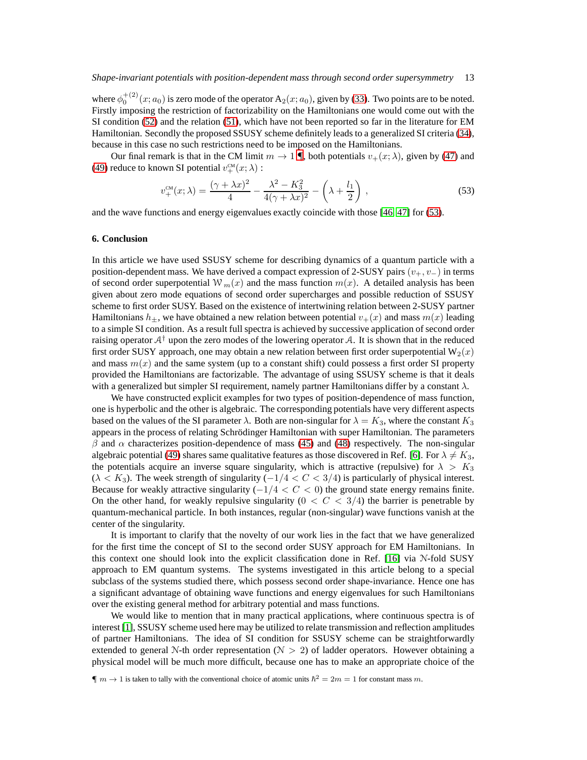where  $\phi_0^{+(2)}(x; a_0)$  is zero mode of the operator  $A_2(x; a_0)$ , given by [\(33\)](#page-5-6). Two points are to be noted. Firstly imposing the restriction of factorizability on the Hamiltonians one would come out with the SI condition [\(52\)](#page-11-2) and the relation [\(51\)](#page-11-1), which have not been reported so far in the literature for EM Hamiltonian. Secondly the proposed SSUSY scheme definitely leads to a generalized SI criteria [\(34\)](#page-6-1), because in this case no such restrictions need to be imposed on the Hamiltonians.

Our final remark is that in the CM limit  $m \to 1 \P$ , both potentials  $v_+(x; \lambda)$ , given by [\(47\)](#page-8-1) and [\(49\)](#page-10-0) reduce to known SI potential  $v^{\text{CM}}_+(x; \lambda)$ :

<span id="page-12-2"></span>
$$
v_{+}^{\text{CM}}(x;\lambda) = \frac{(\gamma + \lambda x)^2}{4} - \frac{\lambda^2 - K_3^2}{4(\gamma + \lambda x)^2} - \left(\lambda + \frac{l_1}{2}\right),\tag{53}
$$

and the wave functions and energy eigenvalues exactly coincide with those [\[46,](#page-13-23) [47\]](#page-13-24) for [\(53\)](#page-12-2).

#### <span id="page-12-0"></span>**6. Conclusion**

In this article we have used SSUSY scheme for describing dynamics of a quantum particle with a position-dependent mass. We have derived a compact expression of 2-SUSY pairs  $(v_+, v_-)$  in terms of second order superpotential  $W_m(x)$  and the mass function  $m(x)$ . A detailed analysis has been given about zero mode equations of second order supercharges and possible reduction of SSUSY scheme to first order SUSY. Based on the existence of intertwining relation between 2-SUSY partner Hamiltonians  $h_+$ , we have obtained a new relation between potential  $v_+(x)$  and mass  $m(x)$  leading to a simple SI condition. As a result full spectra is achieved by successive application of second order raising operator  $A^{\dagger}$  upon the zero modes of the lowering operator A. It is shown that in the reduced first order SUSY approach, one may obtain a new relation between first order superpotential  $W_2(x)$ and mass  $m(x)$  and the same system (up to a constant shift) could possess a first order SI property provided the Hamiltonians are factorizable. The advantage of using SSUSY scheme is that it deals with a generalized but simpler SI requirement, namely partner Hamiltonians differ by a constant  $\lambda$ .

We have constructed explicit examples for two types of position-dependence of mass function, one is hyperbolic and the other is algebraic. The corresponding potentials have very different aspects based on the values of the SI parameter  $\lambda$ . Both are non-singular for  $\lambda = K_3$ , where the constant  $K_3$ appears in the process of relating Schrödinger Hamiltonian with super Hamiltonian. The parameters  $β$  and  $α$  characterizes position-dependence of mass [\(45\)](#page-8-0) and [\(48\)](#page-10-1) respectively. The non-singular algebraic potential [\(49\)](#page-10-0) shares same qualitative features as those discovered in Ref. [\[6\]](#page-13-8). For  $\lambda \neq K_3$ , the potentials acquire an inverse square singularity, which is attractive (repulsive) for  $\lambda > K_3$  $(\lambda < K_3)$ . The week strength of singularity  $(-1/4 < C < 3/4)$  is particularly of physical interest. Because for weakly attractive singularity  $(-1/4 < C < 0)$  the ground state energy remains finite. On the other hand, for weakly repulsive singularity  $(0 \lt C \lt 3/4)$  the barrier is penetrable by quantum-mechanical particle. In both instances, regular (non-singular) wave functions vanish at the center of the singularity.

It is important to clarify that the novelty of our work lies in the fact that we have generalized for the first time the concept of SI to the second order SUSY approach for EM Hamiltonians. In this context one should look into the explicit classification done in Ref. [\[16\]](#page-13-6) via N-fold SUSY approach to EM quantum systems. The systems investigated in this article belong to a special subclass of the systems studied there, which possess second order shape-invariance. Hence one has a significant advantage of obtaining wave functions and energy eigenvalues for such Hamiltonians over the existing general method for arbitrary potential and mass functions.

We would like to mention that in many practical applications, where continuous spectra is of interest [\[1\]](#page-13-0), SSUSY scheme used here may be utilized to relate transmission and reflection amplitudes of partner Hamiltonians. The idea of SI condition for SSUSY scheme can be straightforwardly extended to general N-th order representation ( $N > 2$ ) of ladder operators. However obtaining a physical model will be much more difficult, because one has to make an appropriate choice of the

<span id="page-12-1"></span> $\P m \to 1$  is taken to tally with the conventional choice of atomic units  $\hbar^2 = 2m = 1$  for constant mass m.